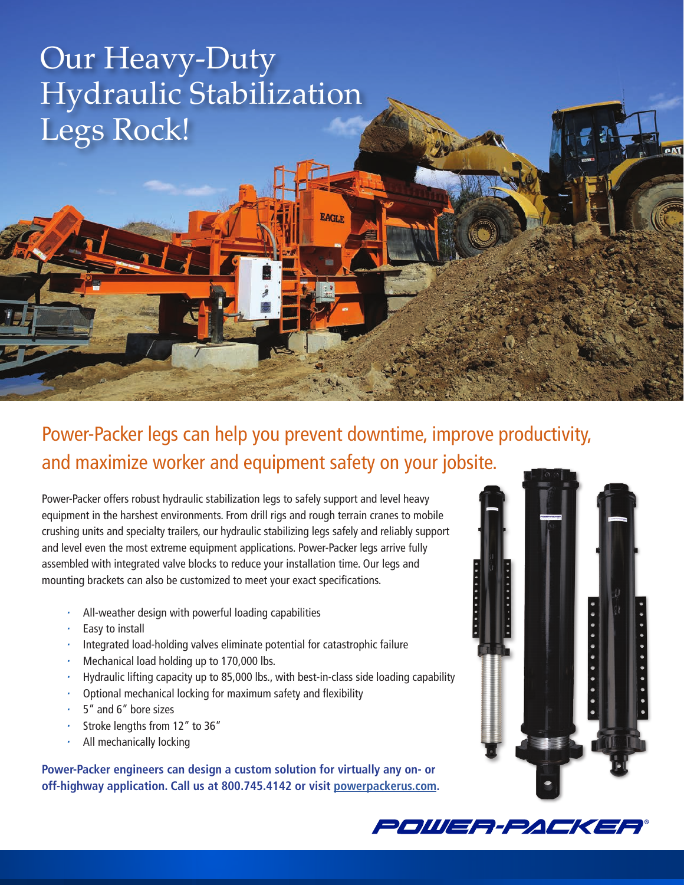## Our Heavy-Duty Hydraulic Stabilization Legs Rock!

Power-Packer legs can help you prevent downtime, improve productivity, and maximize worker and equipment safety on your jobsite.

**EAGLE** 

Power-Packer offers robust hydraulic stabilization legs to safely support and level heavy equipment in the harshest environments. From drill rigs and rough terrain cranes to mobile crushing units and specialty trailers, our hydraulic stabilizing legs safely and reliably support and level even the most extreme equipment applications. Power-Packer legs arrive fully assembled with integrated valve blocks to reduce your installation time. Our legs and mounting brackets can also be customized to meet your exact specifications.

- *•* All-weather design with powerful loading capabilities
- *•* Easy to install
- *•* Integrated load-holding valves eliminate potential for catastrophic failure
- *•* Mechanical load holding up to 170,000 lbs.
- *•* Hydraulic lifting capacity up to 85,000 lbs., with best-in-class side loading capability
- *•* Optional mechanical locking for maximum safety and flexibility
- *•* 5" and 6" bore sizes
- *•* Stroke lengths from 12" to 36"
- *•* All mechanically locking

**Power-Packer engineers can design a custom solution for virtually any on- or off-highway application. Call us at 800.745.4142 or visit [powerpackerus.com.](http://powerpackerus.com)**